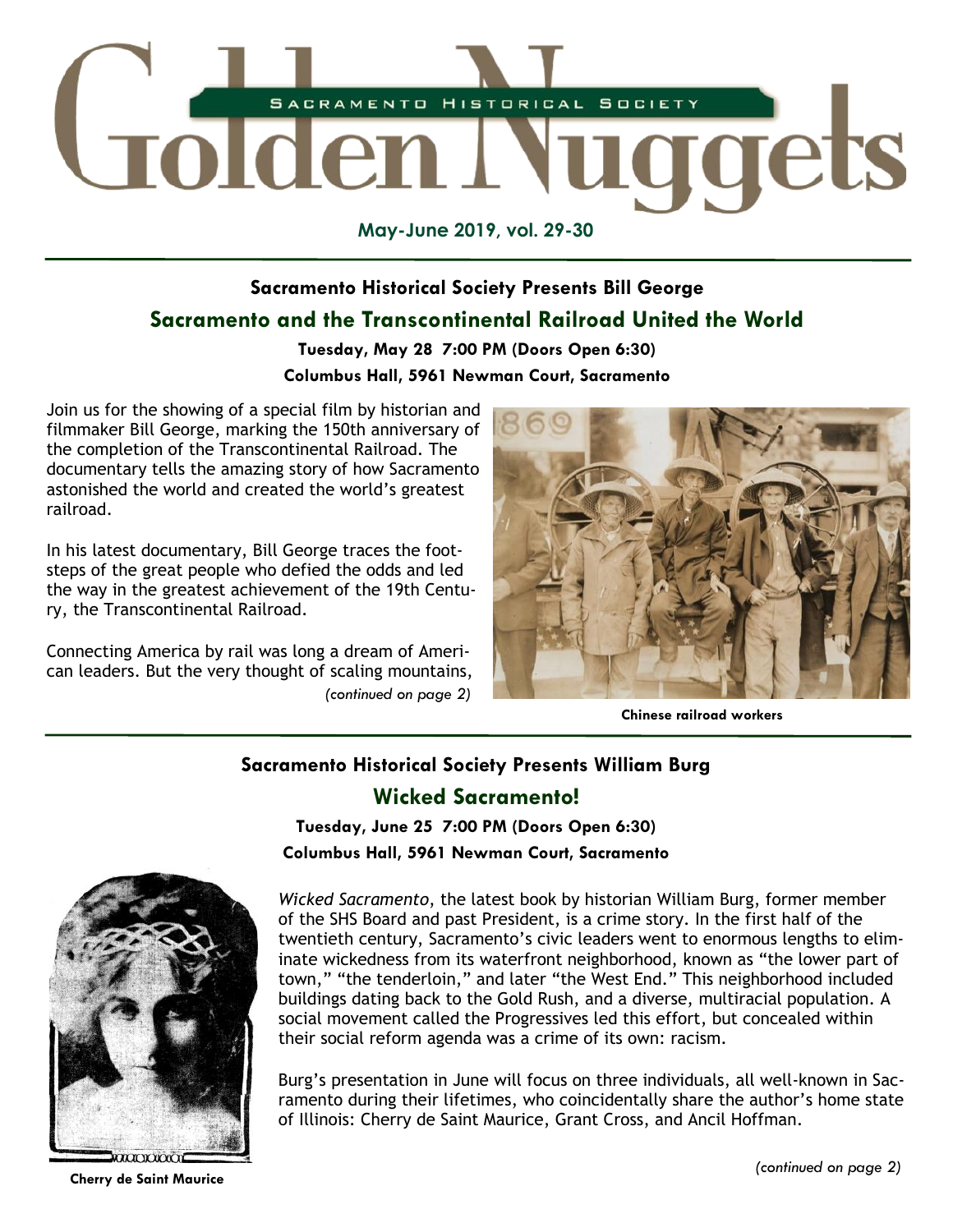

**May-June 2019, vol. 29-30**

## **Sacramento Historical Society Presents Bill George Sacramento and the Transcontinental Railroad United the World**

## **Tuesday, May 28 7:00 PM (Doors Open 6:30)**

## **Columbus Hall, 5961 Newman Court, Sacramento**

Join us for the showing of a special film by historian and filmmaker Bill George, marking the 150th anniversary of the completion of the Transcontinental Railroad. The documentary tells the amazing story of how Sacramento astonished the world and created the world's greatest railroad.

In his latest documentary, Bill George traces the footsteps of the great people who defied the odds and led the way in the greatest achievement of the 19th Century, the Transcontinental Railroad.

*(continued on page 2)* Connecting America by rail was long a dream of American leaders. But the very thought of scaling mountains,



**Chinese railroad workers**

## **Sacramento Historical Society Presents William Burg Wicked Sacramento!**

**Tuesday, June 25 7:00 PM (Doors Open 6:30) Columbus Hall, 5961 Newman Court, Sacramento**



*Wicked Sacramento*, the latest book by historian William Burg, former member of the SHS Board and past President, is a crime story. In the first half of the twentieth century, Sacramento's civic leaders went to enormous lengths to eliminate wickedness from its waterfront neighborhood, known as "the lower part of town," "the tenderloin," and later "the West End." This neighborhood included buildings dating back to the Gold Rush, and a diverse, multiracial population. A social movement called the Progressives led this effort, but concealed within their social reform agenda was a crime of its own: racism.

Burg's presentation in June will focus on three individuals, all well-known in Sacramento during their lifetimes, who coincidentally share the author's home state of Illinois: Cherry de Saint Maurice, Grant Cross, and Ancil Hoffman.

**Cherry de Saint Maurice**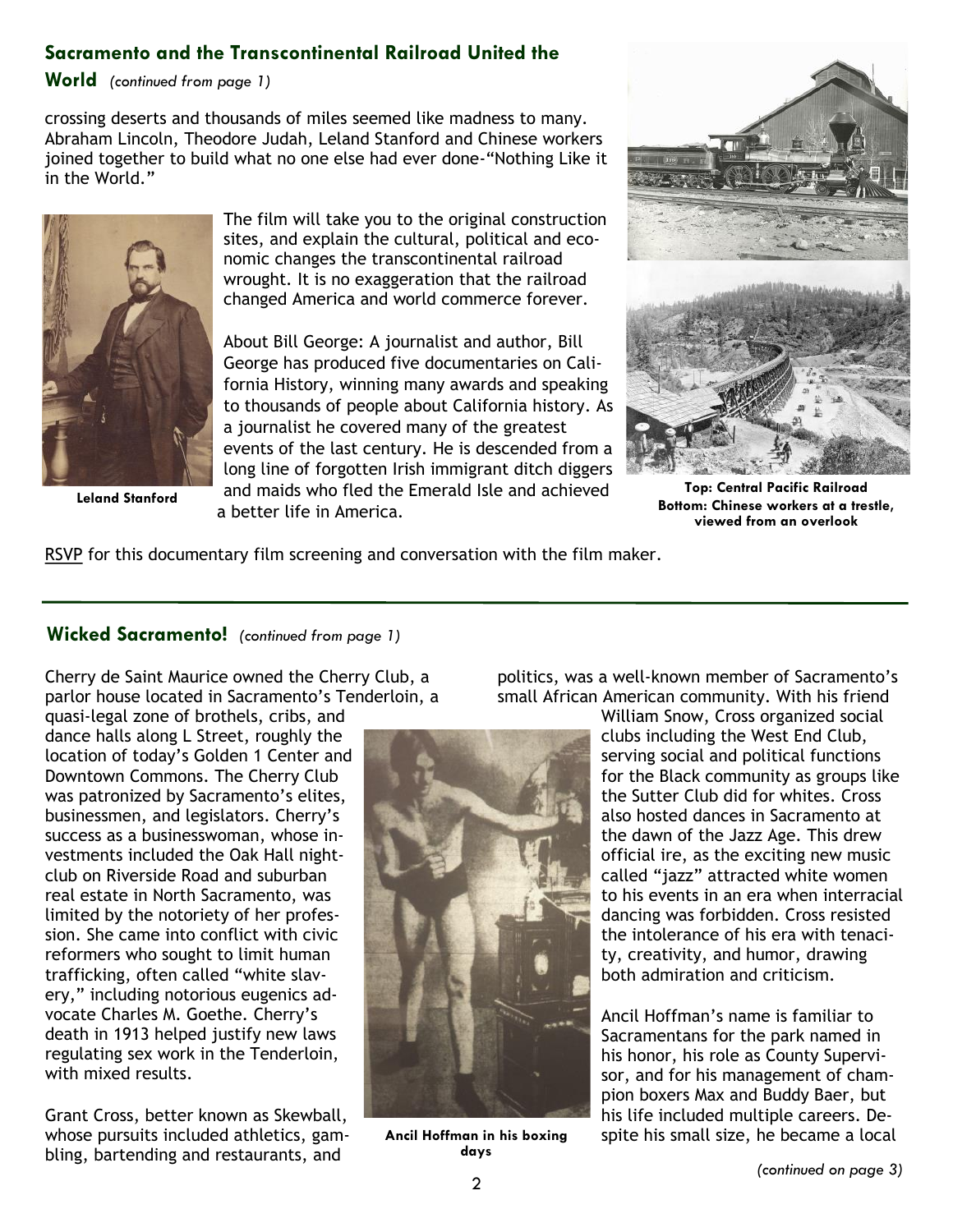## **Sacramento and the Transcontinental Railroad United the**

**World** *(continued from page 1)*

crossing deserts and thousands of miles seemed like madness to many. Abraham Lincoln, Theodore Judah, Leland Stanford and Chinese workers joined together to build what no one else had ever done-"Nothing Like it in the World."



**Leland Stanford**

The film will take you to the original construction sites, and explain the cultural, political and economic changes the transcontinental railroad wrought. It is no exaggeration that the railroad changed America and world commerce forever.

About Bill George: A journalist and author, Bill George has produced five documentaries on California History, winning many awards and speaking to thousands of people about California history. As a journalist he covered many of the greatest events of the last century. He is descended from a long line of forgotten Irish immigrant ditch diggers and maids who fled the Emerald Isle and achieved a better life in America.



**Top: Central Pacific Railroad Bottom: Chinese workers at a trestle, viewed from an overlook**

[RSVP](https://www.sachistoricalsociety.org/events) for this documentary film screening and conversation with the film maker.

## **Wicked Sacramento!** *(continued from page 1)*

Cherry de Saint Maurice owned the Cherry Club, a parlor house located in Sacramento's Tenderloin, a

quasi-legal zone of brothels, cribs, and dance halls along L Street, roughly the location of today's Golden 1 Center and Downtown Commons. The Cherry Club was patronized by Sacramento's elites, businessmen, and legislators. Cherry's success as a businesswoman, whose investments included the Oak Hall nightclub on Riverside Road and suburban real estate in North Sacramento, was limited by the notoriety of her profession. She came into conflict with civic reformers who sought to limit human trafficking, often called "white slavery," including notorious eugenics advocate Charles M. Goethe. Cherry's death in 1913 helped justify new laws regulating sex work in the Tenderloin, with mixed results.

Grant Cross, better known as Skewball, whose pursuits included athletics, gambling, bartending and restaurants, and



**Ancil Hoffman in his boxing days**

politics, was a well-known member of Sacramento's small African American community. With his friend

William Snow, Cross organized social clubs including the West End Club, serving social and political functions for the Black community as groups like the Sutter Club did for whites. Cross also hosted dances in Sacramento at the dawn of the Jazz Age. This drew official ire, as the exciting new music called "jazz" attracted white women to his events in an era when interracial dancing was forbidden. Cross resisted the intolerance of his era with tenacity, creativity, and humor, drawing both admiration and criticism.

Ancil Hoffman's name is familiar to Sacramentans for the park named in his honor, his role as County Supervisor, and for his management of champion boxers Max and Buddy Baer, but his life included multiple careers. Despite his small size, he became a local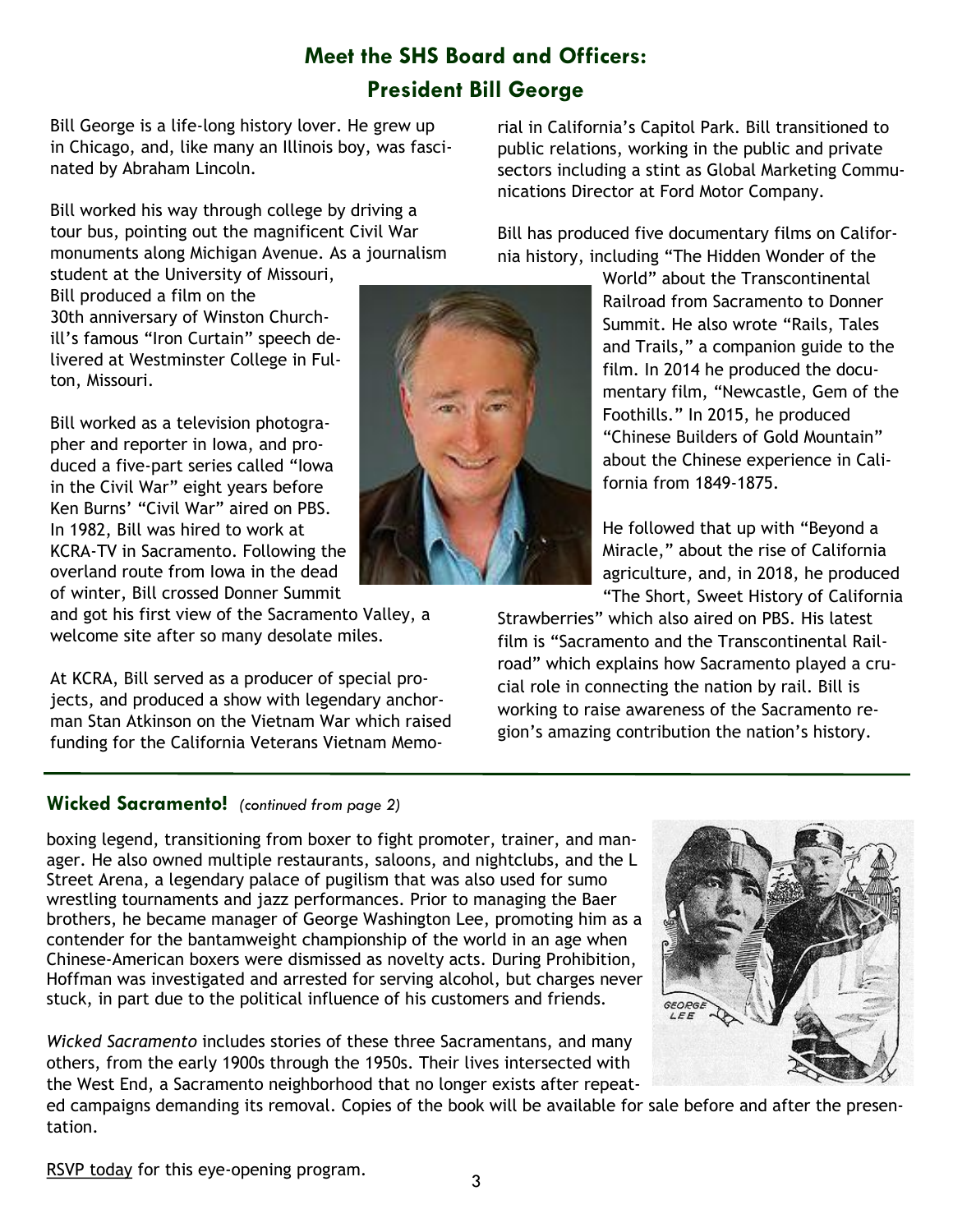# **Meet the SHS Board and Officers: President Bill George**

Bill George is a life-long history lover. He grew up in Chicago, and, like many an Illinois boy, was fascinated by Abraham Lincoln.

Bill worked his way through college by driving a tour bus, pointing out the magnificent Civil War monuments along Michigan Avenue. As a journalism

student at the University of Missouri, Bill produced a film on the 30th anniversary of Winston Churchill's famous "Iron Curtain" speech delivered at Westminster College in Fulton, Missouri.

Bill worked as a television photographer and reporter in Iowa, and produced a five-part series called "Iowa in the Civil War" eight years before Ken Burns' "Civil War" aired on PBS. In 1982, Bill was hired to work at KCRA-TV in Sacramento. Following the overland route from Iowa in the dead of winter, Bill crossed Donner Summit

and got his first view of the Sacramento Valley, a welcome site after so many desolate miles.

At KCRA, Bill served as a producer of special projects, and produced a show with legendary anchorman Stan Atkinson on the Vietnam War which raised funding for the California Veterans Vietnam Memo-

## **Wicked Sacramento!** *(continued from page 2)*

boxing legend, transitioning from boxer to fight promoter, trainer, and manager. He also owned multiple restaurants, saloons, and nightclubs, and the L Street Arena, a legendary palace of pugilism that was also used for sumo wrestling tournaments and jazz performances. Prior to managing the Baer brothers, he became manager of George Washington Lee, promoting him as a contender for the bantamweight championship of the world in an age when Chinese-American boxers were dismissed as novelty acts. During Prohibition, Hoffman was investigated and arrested for serving alcohol, but charges never stuck, in part due to the political influence of his customers and friends.

*Wicked Sacramento* includes stories of these three Sacramentans, and many others, from the early 1900s through the 1950s. Their lives intersected with the West End, a Sacramento neighborhood that no longer exists after repeat-

rial in California's Capitol Park. Bill transitioned to public relations, working in the public and private sectors including a stint as Global Marketing Communications Director at Ford Motor Company.

Bill has produced five documentary films on California history, including "The Hidden Wonder of the

> World" about the Transcontinental Railroad from Sacramento to Donner Summit. He also wrote "Rails, Tales and Trails," a companion guide to the film. In 2014 he produced the documentary film, "Newcastle, Gem of the Foothills." In 2015, he produced "Chinese Builders of Gold Mountain" about the Chinese experience in California from 1849-1875.

He followed that up with "Beyond a Miracle," about the rise of California agriculture, and, in 2018, he produced "The Short, Sweet History of California

Strawberries" which also aired on PBS. His latest film is "Sacramento and the Transcontinental Railroad" which explains how Sacramento played a crucial role in connecting the nation by rail. Bill is working to raise awareness of the Sacramento region's amazing contribution the nation's history.

ed campaigns demanding its removal. Copies of the book will be available for sale before and after the presentation.

3

[RSVP today](https://www.sachistoricalsociety.org/events) for this eye-opening program.